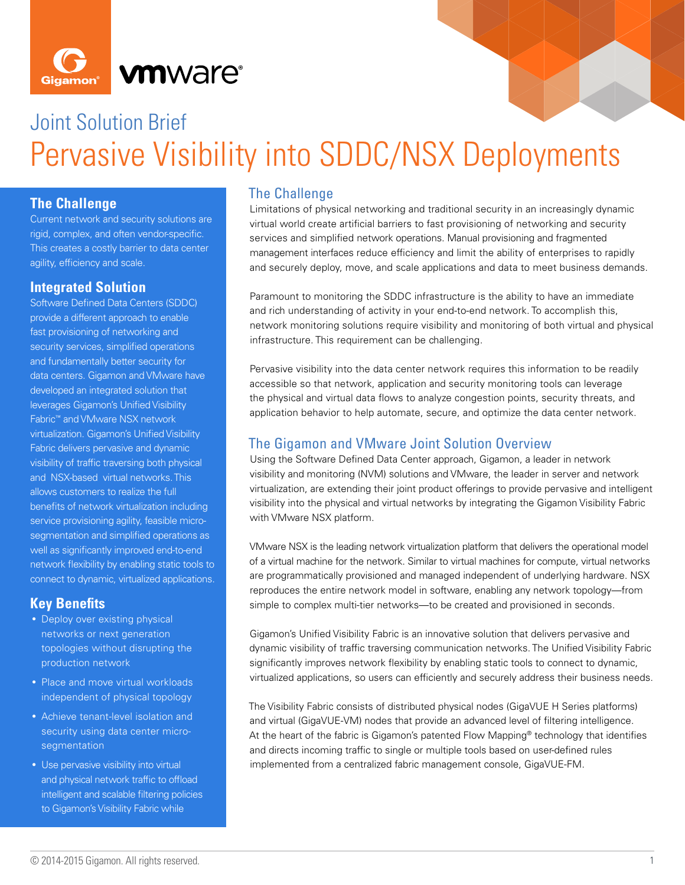



# Joint Solution Brief Pervasive Visibility into SDDC/NSX Deployments

## **The Challenge**

Current network and security solutions are rigid, complex, and often vendor-specifc. This creates a costly barrier to data center agility, efficiency and scale.

#### **Integrated Solution**

Software Defined Data Centers (SDDC) provide a different approach to enable fast provisioning of networking and security services, simplified operations and fundamentally better security for data centers. Gigamon and VMware have developed an integrated solution that leverages Gigamon's Unified Visibility Fabric™ and VMware NSX network virtualization. Gigamon's Unified Visibility Fabric delivers pervasive and dynamic visibility of traffic traversing both physical and NSX-based virtual networks. This allows customers to realize the full benefits of network virtualization including service provisioning agility, feasible microsegmentation and simplified operations as well as significantly improved end-to-end network flexibility by enabling static tools to connect to dynamic, virtualized applications.

#### **Key Benefts**

- Deploy over existing physical networks or next generation topologies without disrupting the production network
- Place and move virtual workloads independent of physical topology
- Achieve tenant-level isolation and security using data center microsegmentation
- Use pervasive visibility into virtual and physical network traffic to offload intelligent and scalable filtering policies to Gigamon's Visibility Fabric while

## The Challenge

Limitations of physical networking and traditional security in an increasingly dynamic virtual world create artifcial barriers to fast provisioning of networking and security services and simplifed network operations. Manual provisioning and fragmented management interfaces reduce efficiency and limit the ability of enterprises to rapidly and securely deploy, move, and scale applications and data to meet business demands.

Paramount to monitoring the SDDC infrastructure is the ability to have an immediate and rich understanding of activity in your end-to-end network. To accomplish this, network monitoring solutions require visibility and monitoring of both virtual and physical infrastructure. This requirement can be challenging.

Pervasive visibility into the data center network requires this information to be readily accessible so that network, application and security monitoring tools can leverage the physical and virtual data flows to analyze congestion points, security threats, and application behavior to help automate, secure, and optimize the data center network.

#### The Gigamon and VMware Joint Solution Overview

Using the Software Defned Data Center approach, Gigamon, a leader in network visibility and monitoring (NVM) solutions and VMware, the leader in server and network virtualization, are extending their joint product offerings to provide pervasive and intelligent visibility into the physical and virtual networks by integrating the Gigamon Visibility Fabric with VMware NSX platform.

VMware NSX is the leading network virtualization platform that delivers the operational model of a virtual machine for the network. Similar to virtual machines for compute, virtual networks are programmatically provisioned and managed independent of underlying hardware. NSX reproduces the entire network model in software, enabling any network topology—from simple to complex multi-tier networks—to be created and provisioned in seconds.

Gigamon's Unifed Visibility Fabric is an innovative solution that delivers pervasive and dynamic visibility of traffic traversing communication networks. The Unified Visibility Fabric significantly improves network flexibility by enabling static tools to connect to dynamic, virtualized applications, so users can efficiently and securely address their business needs.

The Visibility Fabric consists of distributed physical nodes (GigaVUE H Series platforms) and virtual (GigaVUE-VM) nodes that provide an advanced level of fltering intelligence. At the heart of the fabric is Gigamon's patented Flow Mapping® technology that identifes and directs incoming traffic to single or multiple tools based on user-defined rules implemented from a centralized fabric management console, GigaVUE-FM.